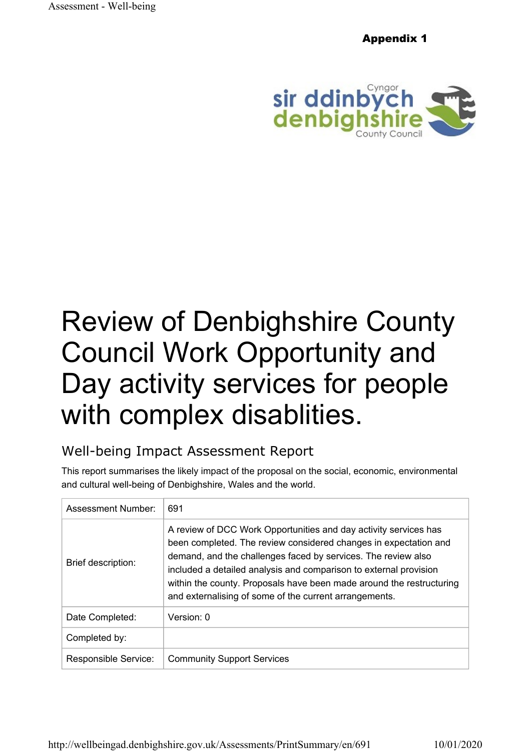Appendix 1



# Review of Denbighshire County Council Work Opportunity and Day activity services for people with complex disablities.

# Well-being Impact Assessment Report

This report summarises the likely impact of the proposal on the social, economic, environmental and cultural well-being of Denbighshire, Wales and the world.

| Assessment Number:        | 691                                                                                                                                                                                                                                                                                                                                                                                                          |
|---------------------------|--------------------------------------------------------------------------------------------------------------------------------------------------------------------------------------------------------------------------------------------------------------------------------------------------------------------------------------------------------------------------------------------------------------|
| <b>Brief description:</b> | A review of DCC Work Opportunities and day activity services has<br>been completed. The review considered changes in expectation and<br>demand, and the challenges faced by services. The review also<br>included a detailed analysis and comparison to external provision<br>within the county. Proposals have been made around the restructuring<br>and externalising of some of the current arrangements. |
| Date Completed:           | Version: $0$                                                                                                                                                                                                                                                                                                                                                                                                 |
| Completed by:             |                                                                                                                                                                                                                                                                                                                                                                                                              |
| Responsible Service:      | <b>Community Support Services</b>                                                                                                                                                                                                                                                                                                                                                                            |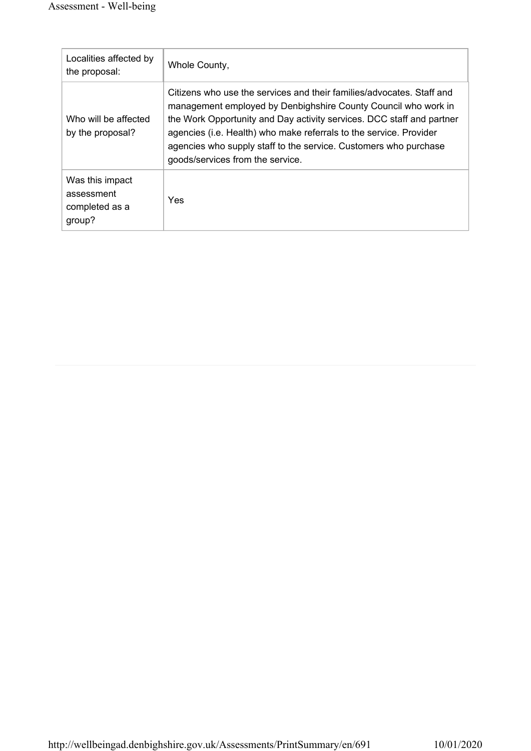| Localities affected by<br>the proposal:                   | Whole County,                                                                                                                                                                                                                                                                                                                                                                                  |
|-----------------------------------------------------------|------------------------------------------------------------------------------------------------------------------------------------------------------------------------------------------------------------------------------------------------------------------------------------------------------------------------------------------------------------------------------------------------|
| Who will be affected<br>by the proposal?                  | Citizens who use the services and their families/advocates. Staff and<br>management employed by Denbighshire County Council who work in<br>the Work Opportunity and Day activity services. DCC staff and partner<br>agencies (i.e. Health) who make referrals to the service. Provider<br>agencies who supply staff to the service. Customers who purchase<br>goods/services from the service. |
| Was this impact<br>assessment<br>completed as a<br>group? | <b>Yes</b>                                                                                                                                                                                                                                                                                                                                                                                     |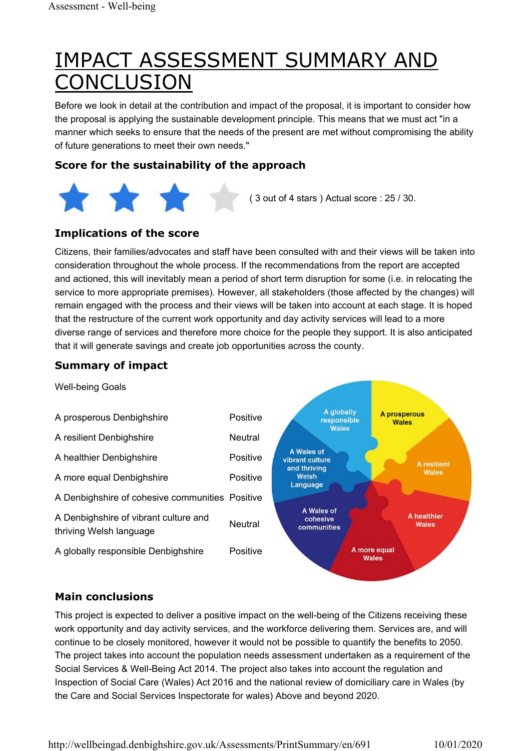# IMPACT ASSESSMENT SUMMARY AND **ONCLUSION**

Before we look in detail at the contribution and impact of the proposal, it is important to consider how the proposal is applying the sustainable development principle. This means that we must act "in a manner which seeks to ensure that the needs of the present are met without compromising the ability of future generations to meet their own needs."

#### Score for the sustainability of the approach



#### Implications of the score

Citizens, their families/advocates and staff have been consulted with and their views will be taken into consideration throughout the whole process. If the recommendations from the report are accepted and actioned, this will inevitably mean a period of short term disruption for some (i.e. in relocating the service to more appropriate premises). However, all stakeholders (those affected by the changes) will remain engaged with the process and their views will be taken into account at each stage. It is hoped that the restructure of the current work opportunity and day activity services will lead to a more diverse range of services and therefore more choice for the people they support. It is also anticipated that it will generate savings and create job opportunities across the county.

#### Summary of impact



#### Main conclusions

This project is expected to deliver a positive impact on the well-being of the Citizens receiving these work opportunity and day activity services, and the workforce delivering them. Services are, and will continue to be closely monitored, however it would not be possible to quantify the benefits to 2050. The project takes into account the population needs assessment undertaken as a requirement of the Social Services & Well-Being Act 2014. The project also takes into account the regulation and Inspection of Social Care (Wales) Act 2016 and the national review of domiciliary care in Wales (by the Care and Social Services Inspectorate for wales) Above and beyond 2020.

http://wellbeingad.denbighshire.gov.uk/Assessments/PrintSummary/en/691 10/01/2020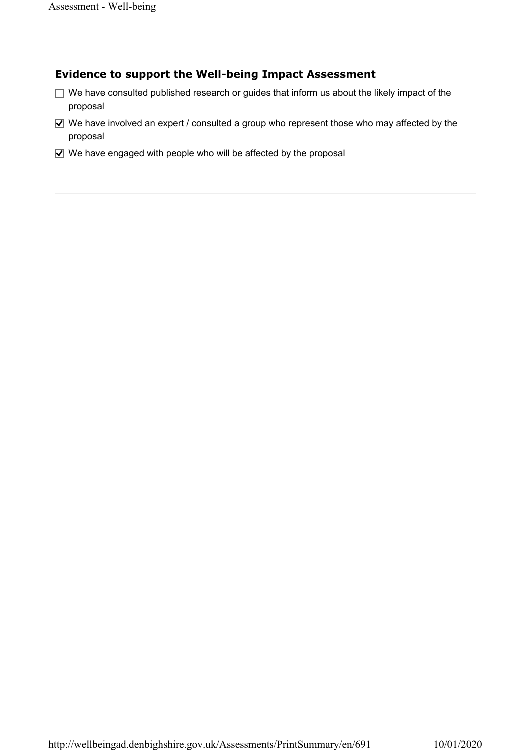#### Evidence to support the Well-being Impact Assessment

- $\Box$  We have consulted published research or guides that inform us about the likely impact of the proposal
- $\blacktriangledown$  We have involved an expert / consulted a group who represent those who may affected by the proposal
- ◯ We have engaged with people who will be affected by the proposal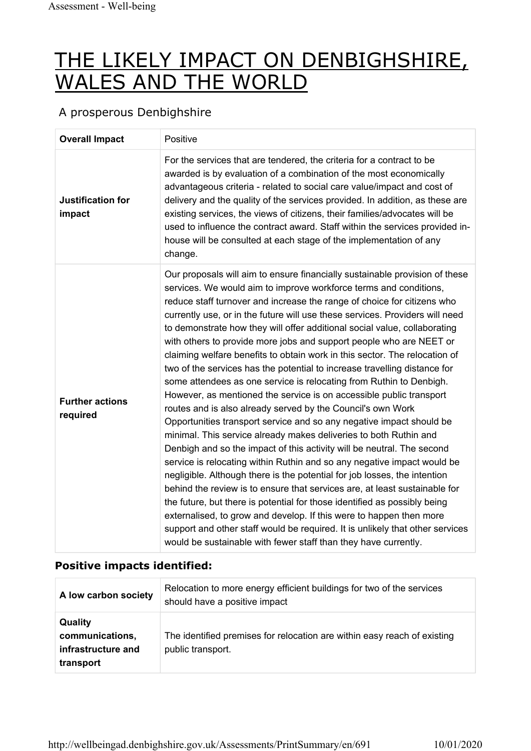# THE LIKELY IMPACT ON DENBIGHSHIRE, WALES AND THE WORLD

#### A prosperous Denbighshire

| <b>Overall Impact</b>              | Positive                                                                                                                                                                                                                                                                                                                                                                                                                                                                                                                                                                                                                                                                                                                                                                                                                                                                                                                                                                                                                                                                                                                                                                                                                                                                                                                                                                                                                                                                                                                                                                                                     |
|------------------------------------|--------------------------------------------------------------------------------------------------------------------------------------------------------------------------------------------------------------------------------------------------------------------------------------------------------------------------------------------------------------------------------------------------------------------------------------------------------------------------------------------------------------------------------------------------------------------------------------------------------------------------------------------------------------------------------------------------------------------------------------------------------------------------------------------------------------------------------------------------------------------------------------------------------------------------------------------------------------------------------------------------------------------------------------------------------------------------------------------------------------------------------------------------------------------------------------------------------------------------------------------------------------------------------------------------------------------------------------------------------------------------------------------------------------------------------------------------------------------------------------------------------------------------------------------------------------------------------------------------------------|
| <b>Justification for</b><br>impact | For the services that are tendered, the criteria for a contract to be<br>awarded is by evaluation of a combination of the most economically<br>advantageous criteria - related to social care value/impact and cost of<br>delivery and the quality of the services provided. In addition, as these are<br>existing services, the views of citizens, their families/advocates will be<br>used to influence the contract award. Staff within the services provided in-<br>house will be consulted at each stage of the implementation of any<br>change.                                                                                                                                                                                                                                                                                                                                                                                                                                                                                                                                                                                                                                                                                                                                                                                                                                                                                                                                                                                                                                                        |
| <b>Further actions</b><br>required | Our proposals will aim to ensure financially sustainable provision of these<br>services. We would aim to improve workforce terms and conditions,<br>reduce staff turnover and increase the range of choice for citizens who<br>currently use, or in the future will use these services. Providers will need<br>to demonstrate how they will offer additional social value, collaborating<br>with others to provide more jobs and support people who are NEET or<br>claiming welfare benefits to obtain work in this sector. The relocation of<br>two of the services has the potential to increase travelling distance for<br>some attendees as one service is relocating from Ruthin to Denbigh.<br>However, as mentioned the service is on accessible public transport<br>routes and is also already served by the Council's own Work<br>Opportunities transport service and so any negative impact should be<br>minimal. This service already makes deliveries to both Ruthin and<br>Denbigh and so the impact of this activity will be neutral. The second<br>service is relocating within Ruthin and so any negative impact would be<br>negligible. Although there is the potential for job losses, the intention<br>behind the review is to ensure that services are, at least sustainable for<br>the future, but there is potential for those identified as possibly being<br>externalised, to grow and develop. If this were to happen then more<br>support and other staff would be required. It is unlikely that other services<br>would be sustainable with fewer staff than they have currently. |

| A low carbon society                                                 | Relocation to more energy efficient buildings for two of the services<br>should have a positive impact |
|----------------------------------------------------------------------|--------------------------------------------------------------------------------------------------------|
| <b>Quality</b><br>communications,<br>infrastructure and<br>transport | The identified premises for relocation are within easy reach of existing<br>public transport.          |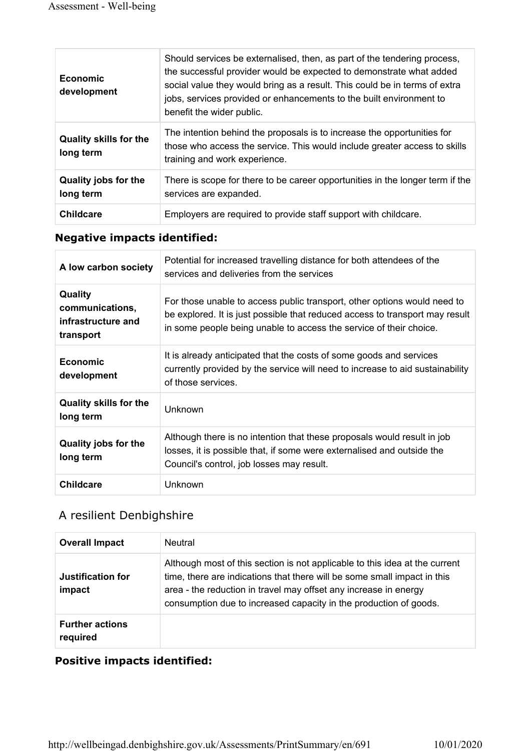| Economic<br>development                    | Should services be externalised, then, as part of the tendering process,<br>the successful provider would be expected to demonstrate what added<br>social value they would bring as a result. This could be in terms of extra<br>jobs, services provided or enhancements to the built environment to<br>benefit the wider public. |
|--------------------------------------------|-----------------------------------------------------------------------------------------------------------------------------------------------------------------------------------------------------------------------------------------------------------------------------------------------------------------------------------|
| <b>Quality skills for the</b><br>long term | The intention behind the proposals is to increase the opportunities for<br>those who access the service. This would include greater access to skills<br>training and work experience.                                                                                                                                             |
| <b>Quality jobs for the</b><br>long term   | There is scope for there to be career opportunities in the longer term if the<br>services are expanded.                                                                                                                                                                                                                           |
| <b>Childcare</b>                           | Employers are required to provide staff support with childcare.                                                                                                                                                                                                                                                                   |

| A low carbon society                                                 | Potential for increased travelling distance for both attendees of the<br>services and deliveries from the services                                                                                                             |
|----------------------------------------------------------------------|--------------------------------------------------------------------------------------------------------------------------------------------------------------------------------------------------------------------------------|
| <b>Quality</b><br>communications,<br>infrastructure and<br>transport | For those unable to access public transport, other options would need to<br>be explored. It is just possible that reduced access to transport may result<br>in some people being unable to access the service of their choice. |
| <b>Economic</b><br>development                                       | It is already anticipated that the costs of some goods and services<br>currently provided by the service will need to increase to aid sustainability<br>of those services.                                                     |
| <b>Quality skills for the</b><br>long term                           | Unknown                                                                                                                                                                                                                        |
| <b>Quality jobs for the</b><br>long term                             | Although there is no intention that these proposals would result in job<br>losses, it is possible that, if some were externalised and outside the<br>Council's control, job losses may result.                                 |
| <b>Childcare</b>                                                     | Unknown                                                                                                                                                                                                                        |

#### A resilient Denbighshire

| <b>Overall Impact</b>              | <b>Neutral</b>                                                                                                                                                                                                                                                                                   |
|------------------------------------|--------------------------------------------------------------------------------------------------------------------------------------------------------------------------------------------------------------------------------------------------------------------------------------------------|
| Justification for<br>impact        | Although most of this section is not applicable to this idea at the current<br>time, there are indications that there will be some small impact in this<br>area - the reduction in travel may offset any increase in energy<br>consumption due to increased capacity in the production of goods. |
| <b>Further actions</b><br>required |                                                                                                                                                                                                                                                                                                  |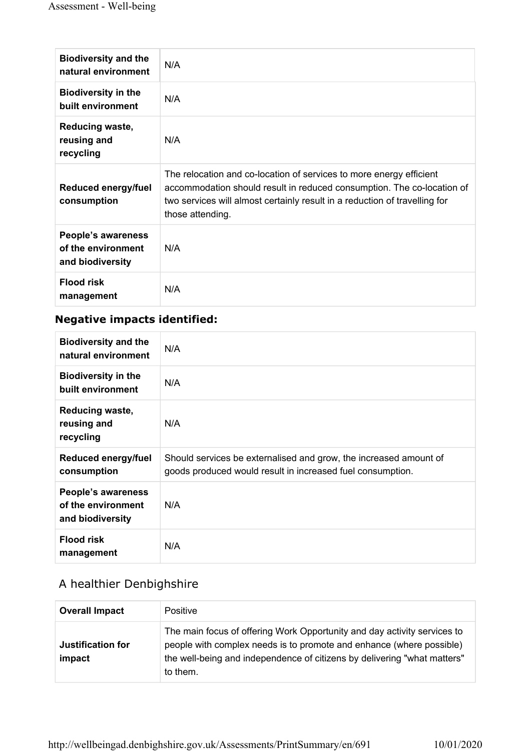| <b>Biodiversity and the</b><br>natural environment           | N/A                                                                                                                                                                                                                                             |
|--------------------------------------------------------------|-------------------------------------------------------------------------------------------------------------------------------------------------------------------------------------------------------------------------------------------------|
| <b>Biodiversity in the</b><br>built environment              | N/A                                                                                                                                                                                                                                             |
| Reducing waste,<br>reusing and<br>recycling                  | N/A                                                                                                                                                                                                                                             |
| Reduced energy/fuel<br>consumption                           | The relocation and co-location of services to more energy efficient<br>accommodation should result in reduced consumption. The co-location of<br>two services will almost certainly result in a reduction of travelling for<br>those attending. |
| People's awareness<br>of the environment<br>and biodiversity | N/A                                                                                                                                                                                                                                             |
| <b>Flood risk</b><br>management                              | N/A                                                                                                                                                                                                                                             |

| <b>Biodiversity and the</b><br>natural environment           | N/A                                                                                                                             |
|--------------------------------------------------------------|---------------------------------------------------------------------------------------------------------------------------------|
| <b>Biodiversity in the</b><br>built environment              | N/A                                                                                                                             |
| Reducing waste,<br>reusing and<br>recycling                  | N/A                                                                                                                             |
| Reduced energy/fuel<br>consumption                           | Should services be externalised and grow, the increased amount of<br>goods produced would result in increased fuel consumption. |
| People's awareness<br>of the environment<br>and biodiversity | N/A                                                                                                                             |
| <b>Flood risk</b><br>management                              | N/A                                                                                                                             |

# A healthier Denbighshire

| <b>Overall Impact</b>       | <b>Positive</b>                                                                                                                                                                                                                          |
|-----------------------------|------------------------------------------------------------------------------------------------------------------------------------------------------------------------------------------------------------------------------------------|
| Justification for<br>impact | The main focus of offering Work Opportunity and day activity services to<br>people with complex needs is to promote and enhance (where possible)<br>the well-being and independence of citizens by delivering "what matters"<br>to them. |

http://wellbeingad.denbighshire.gov.uk/Assessments/PrintSummary/en/691 10/01/2020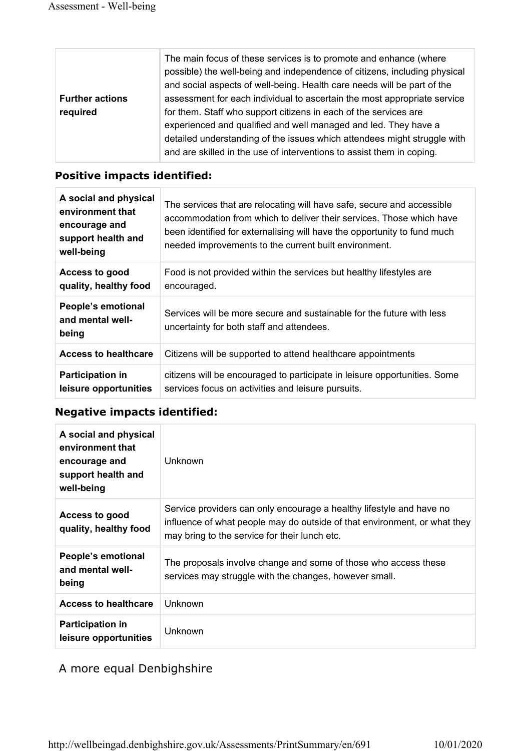|                        | The main focus of these services is to promote and enhance (where<br>possible) the well-being and independence of citizens, including physical<br>and social aspects of well-being. Health care needs will be part of the |
|------------------------|---------------------------------------------------------------------------------------------------------------------------------------------------------------------------------------------------------------------------|
| <b>Further actions</b> | assessment for each individual to ascertain the most appropriate service                                                                                                                                                  |
| required               | for them. Staff who support citizens in each of the services are                                                                                                                                                          |
|                        | experienced and qualified and well managed and led. They have a                                                                                                                                                           |
|                        | detailed understanding of the issues which attendees might struggle with                                                                                                                                                  |
|                        | and are skilled in the use of interventions to assist them in coping.                                                                                                                                                     |

#### Positive impacts identified:

| A social and physical<br>environment that<br>encourage and<br>support health and<br>well-being | The services that are relocating will have safe, secure and accessible<br>accommodation from which to deliver their services. Those which have<br>been identified for externalising will have the opportunity to fund much<br>needed improvements to the current built environment. |
|------------------------------------------------------------------------------------------------|-------------------------------------------------------------------------------------------------------------------------------------------------------------------------------------------------------------------------------------------------------------------------------------|
| Access to good<br>quality, healthy food                                                        | Food is not provided within the services but healthy lifestyles are<br>encouraged.                                                                                                                                                                                                  |
| People's emotional<br>and mental well-<br>being                                                | Services will be more secure and sustainable for the future with less<br>uncertainty for both staff and attendees.                                                                                                                                                                  |
| <b>Access to healthcare</b>                                                                    | Citizens will be supported to attend healthcare appointments                                                                                                                                                                                                                        |
| <b>Participation in</b><br>leisure opportunities                                               | citizens will be encouraged to participate in leisure opportunities. Some<br>services focus on activities and leisure pursuits.                                                                                                                                                     |

#### Negative impacts identified:

| A social and physical<br>environment that<br>encourage and<br>support health and<br>well-being | <b>Unknown</b>                                                                                                                                                                                     |
|------------------------------------------------------------------------------------------------|----------------------------------------------------------------------------------------------------------------------------------------------------------------------------------------------------|
| Access to good<br>quality, healthy food                                                        | Service providers can only encourage a healthy lifestyle and have no<br>influence of what people may do outside of that environment, or what they<br>may bring to the service for their lunch etc. |
| People's emotional<br>and mental well-<br>being                                                | The proposals involve change and some of those who access these<br>services may struggle with the changes, however small.                                                                          |
| <b>Access to healthcare</b>                                                                    | Unknown                                                                                                                                                                                            |
| <b>Participation in</b><br>leisure opportunities                                               | Unknown                                                                                                                                                                                            |

#### A more equal Denbighshire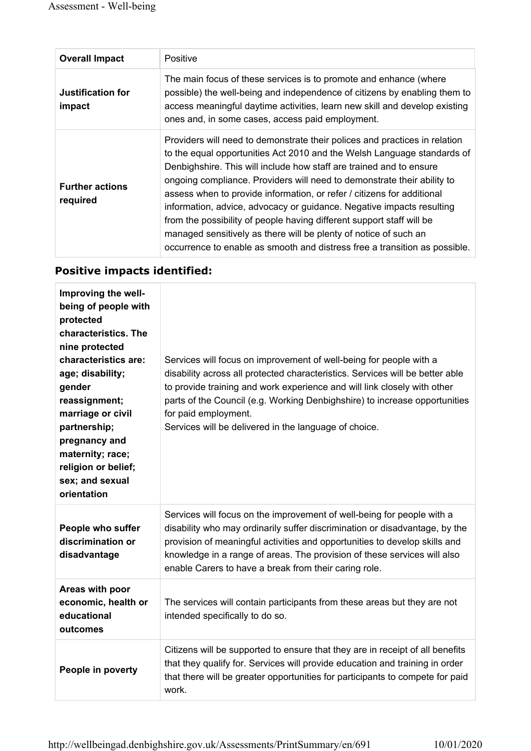| <b>Overall Impact</b>              | Positive                                                                                                                                                                                                                                                                                                                                                                                                                                                                                                                                                                                                                                                                              |
|------------------------------------|---------------------------------------------------------------------------------------------------------------------------------------------------------------------------------------------------------------------------------------------------------------------------------------------------------------------------------------------------------------------------------------------------------------------------------------------------------------------------------------------------------------------------------------------------------------------------------------------------------------------------------------------------------------------------------------|
| <b>Justification for</b><br>impact | The main focus of these services is to promote and enhance (where<br>possible) the well-being and independence of citizens by enabling them to<br>access meaningful daytime activities, learn new skill and develop existing<br>ones and, in some cases, access paid employment.                                                                                                                                                                                                                                                                                                                                                                                                      |
| <b>Further actions</b><br>required | Providers will need to demonstrate their polices and practices in relation<br>to the equal opportunities Act 2010 and the Welsh Language standards of<br>Denbighshire. This will include how staff are trained and to ensure<br>ongoing compliance. Providers will need to demonstrate their ability to<br>assess when to provide information, or refer / citizens for additional<br>information, advice, advocacy or guidance. Negative impacts resulting<br>from the possibility of people having different support staff will be<br>managed sensitively as there will be plenty of notice of such an<br>occurrence to enable as smooth and distress free a transition as possible. |

| Improving the well-<br>being of people with<br>protected<br>characteristics. The<br>nine protected<br>characteristics are:<br>age; disability;<br>gender<br>reassignment;<br>marriage or civil<br>partnership;<br>pregnancy and<br>maternity; race;<br>religion or belief;<br>sex; and sexual<br>orientation | Services will focus on improvement of well-being for people with a<br>disability across all protected characteristics. Services will be better able<br>to provide training and work experience and will link closely with other<br>parts of the Council (e.g. Working Denbighshire) to increase opportunities<br>for paid employment.<br>Services will be delivered in the language of choice. |
|--------------------------------------------------------------------------------------------------------------------------------------------------------------------------------------------------------------------------------------------------------------------------------------------------------------|------------------------------------------------------------------------------------------------------------------------------------------------------------------------------------------------------------------------------------------------------------------------------------------------------------------------------------------------------------------------------------------------|
| People who suffer<br>discrimination or<br>disadvantage                                                                                                                                                                                                                                                       | Services will focus on the improvement of well-being for people with a<br>disability who may ordinarily suffer discrimination or disadvantage, by the<br>provision of meaningful activities and opportunities to develop skills and<br>knowledge in a range of areas. The provision of these services will also<br>enable Carers to have a break from their caring role.                       |
| Areas with poor<br>economic, health or<br>educational<br>outcomes                                                                                                                                                                                                                                            | The services will contain participants from these areas but they are not<br>intended specifically to do so.                                                                                                                                                                                                                                                                                    |
| People in poverty                                                                                                                                                                                                                                                                                            | Citizens will be supported to ensure that they are in receipt of all benefits<br>that they qualify for. Services will provide education and training in order<br>that there will be greater opportunities for participants to compete for paid<br>work.                                                                                                                                        |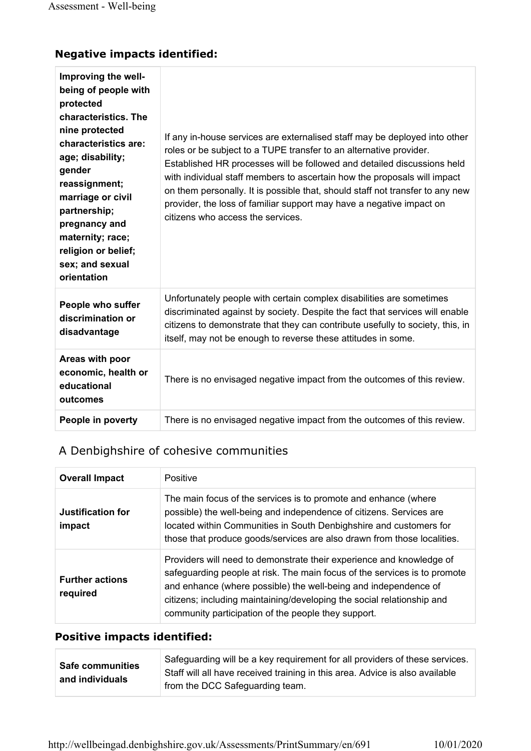| Improving the well-<br>being of people with<br>protected<br>characteristics. The<br>nine protected<br>characteristics are:<br>age; disability;<br>gender<br>reassignment;<br>marriage or civil<br>partnership;<br>pregnancy and<br>maternity; race;<br>religion or belief;<br>sex; and sexual<br>orientation | If any in-house services are externalised staff may be deployed into other<br>roles or be subject to a TUPE transfer to an alternative provider.<br>Established HR processes will be followed and detailed discussions held<br>with individual staff members to ascertain how the proposals will impact<br>on them personally. It is possible that, should staff not transfer to any new<br>provider, the loss of familiar support may have a negative impact on<br>citizens who access the services. |
|--------------------------------------------------------------------------------------------------------------------------------------------------------------------------------------------------------------------------------------------------------------------------------------------------------------|-------------------------------------------------------------------------------------------------------------------------------------------------------------------------------------------------------------------------------------------------------------------------------------------------------------------------------------------------------------------------------------------------------------------------------------------------------------------------------------------------------|
| People who suffer<br>discrimination or<br>disadvantage                                                                                                                                                                                                                                                       | Unfortunately people with certain complex disabilities are sometimes<br>discriminated against by society. Despite the fact that services will enable<br>citizens to demonstrate that they can contribute usefully to society, this, in<br>itself, may not be enough to reverse these attitudes in some.                                                                                                                                                                                               |
| Areas with poor<br>economic, health or<br>educational<br>outcomes                                                                                                                                                                                                                                            | There is no envisaged negative impact from the outcomes of this review.                                                                                                                                                                                                                                                                                                                                                                                                                               |
| People in poverty                                                                                                                                                                                                                                                                                            | There is no envisaged negative impact from the outcomes of this review.                                                                                                                                                                                                                                                                                                                                                                                                                               |

# A Denbighshire of cohesive communities

| <b>Overall Impact</b>              | Positive                                                                                                                                                                                                                                                                                                                                              |
|------------------------------------|-------------------------------------------------------------------------------------------------------------------------------------------------------------------------------------------------------------------------------------------------------------------------------------------------------------------------------------------------------|
| Justification for<br>impact        | The main focus of the services is to promote and enhance (where<br>possible) the well-being and independence of citizens. Services are<br>located within Communities in South Denbighshire and customers for<br>those that produce goods/services are also drawn from those localities.                                                               |
| <b>Further actions</b><br>required | Providers will need to demonstrate their experience and knowledge of<br>safeguarding people at risk. The main focus of the services is to promote<br>and enhance (where possible) the well-being and independence of<br>citizens; including maintaining/developing the social relationship and<br>community participation of the people they support. |

| <b>Safe communities</b> | Safeguarding will be a key requirement for all providers of these services.  |
|-------------------------|------------------------------------------------------------------------------|
|                         | Staff will all have received training in this area. Advice is also available |
| and individuals         | from the DCC Safeguarding team.                                              |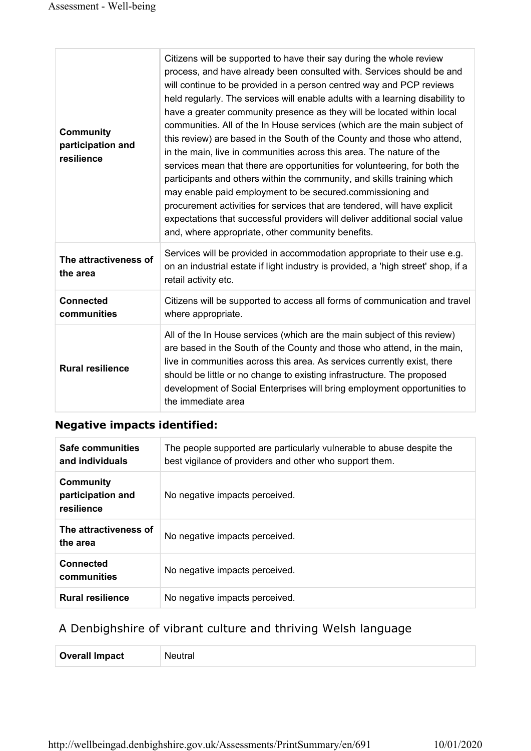| <b>Community</b><br>participation and<br>resilience | Citizens will be supported to have their say during the whole review<br>process, and have already been consulted with. Services should be and<br>will continue to be provided in a person centred way and PCP reviews<br>held regularly. The services will enable adults with a learning disability to<br>have a greater community presence as they will be located within local<br>communities. All of the In House services (which are the main subject of<br>this review) are based in the South of the County and those who attend,<br>in the main, live in communities across this area. The nature of the<br>services mean that there are opportunities for volunteering, for both the<br>participants and others within the community, and skills training which<br>may enable paid employment to be secured.commissioning and<br>procurement activities for services that are tendered, will have explicit<br>expectations that successful providers will deliver additional social value<br>and, where appropriate, other community benefits. |
|-----------------------------------------------------|--------------------------------------------------------------------------------------------------------------------------------------------------------------------------------------------------------------------------------------------------------------------------------------------------------------------------------------------------------------------------------------------------------------------------------------------------------------------------------------------------------------------------------------------------------------------------------------------------------------------------------------------------------------------------------------------------------------------------------------------------------------------------------------------------------------------------------------------------------------------------------------------------------------------------------------------------------------------------------------------------------------------------------------------------------|
| The attractiveness of<br>the area                   | Services will be provided in accommodation appropriate to their use e.g.<br>on an industrial estate if light industry is provided, a 'high street' shop, if a<br>retail activity etc.                                                                                                                                                                                                                                                                                                                                                                                                                                                                                                                                                                                                                                                                                                                                                                                                                                                                  |
| <b>Connected</b><br>communities                     | Citizens will be supported to access all forms of communication and travel<br>where appropriate.                                                                                                                                                                                                                                                                                                                                                                                                                                                                                                                                                                                                                                                                                                                                                                                                                                                                                                                                                       |
| <b>Rural resilience</b>                             | All of the In House services (which are the main subject of this review)<br>are based in the South of the County and those who attend, in the main,<br>live in communities across this area. As services currently exist, there<br>should be little or no change to existing infrastructure. The proposed<br>development of Social Enterprises will bring employment opportunities to<br>the immediate area                                                                                                                                                                                                                                                                                                                                                                                                                                                                                                                                                                                                                                            |

| Safe communities<br>and individuals          | The people supported are particularly vulnerable to abuse despite the<br>best vigilance of providers and other who support them. |
|----------------------------------------------|----------------------------------------------------------------------------------------------------------------------------------|
| Community<br>participation and<br>resilience | No negative impacts perceived.                                                                                                   |
| The attractiveness of<br>the area            | No negative impacts perceived.                                                                                                   |
| <b>Connected</b><br>communities              | No negative impacts perceived.                                                                                                   |
| <b>Rural resilience</b>                      | No negative impacts perceived.                                                                                                   |

# A Denbighshire of vibrant culture and thriving Welsh language

| <b>Overall Impact</b> | M |
|-----------------------|---|
|-----------------------|---|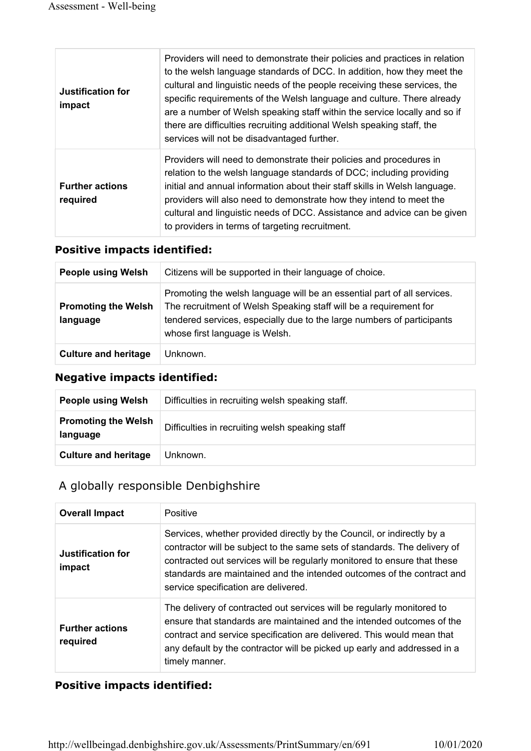| <b>Justification for</b><br>impact | Providers will need to demonstrate their policies and practices in relation<br>to the welsh language standards of DCC. In addition, how they meet the<br>cultural and linguistic needs of the people receiving these services, the<br>specific requirements of the Welsh language and culture. There already<br>are a number of Welsh speaking staff within the service locally and so if<br>there are difficulties recruiting additional Welsh speaking staff, the<br>services will not be disadvantaged further. |
|------------------------------------|--------------------------------------------------------------------------------------------------------------------------------------------------------------------------------------------------------------------------------------------------------------------------------------------------------------------------------------------------------------------------------------------------------------------------------------------------------------------------------------------------------------------|
| <b>Further actions</b><br>required | Providers will need to demonstrate their policies and procedures in<br>relation to the welsh language standards of DCC; including providing<br>initial and annual information about their staff skills in Welsh language.<br>providers will also need to demonstrate how they intend to meet the<br>cultural and linguistic needs of DCC. Assistance and advice can be given<br>to providers in terms of targeting recruitment.                                                                                    |

#### Positive impacts identified:

| <b>People using Welsh</b>              | Citizens will be supported in their language of choice.                                                                                                                                                                                                  |
|----------------------------------------|----------------------------------------------------------------------------------------------------------------------------------------------------------------------------------------------------------------------------------------------------------|
| <b>Promoting the Welsh</b><br>language | Promoting the welsh language will be an essential part of all services.<br>The recruitment of Welsh Speaking staff will be a requirement for<br>tendered services, especially due to the large numbers of participants<br>whose first language is Welsh. |
| <b>Culture and heritage</b>            | Unknown.                                                                                                                                                                                                                                                 |

#### Negative impacts identified:

| <b>People using Welsh</b>              | Difficulties in recruiting welsh speaking staff. |
|----------------------------------------|--------------------------------------------------|
| <b>Promoting the Welsh</b><br>language | Difficulties in recruiting welsh speaking staff  |
| <b>Culture and heritage</b>            | Unknown.                                         |

#### A globally responsible Denbighshire

| <b>Overall Impact</b>              | Positive                                                                                                                                                                                                                                                                                                                                          |
|------------------------------------|---------------------------------------------------------------------------------------------------------------------------------------------------------------------------------------------------------------------------------------------------------------------------------------------------------------------------------------------------|
| Justification for<br>impact        | Services, whether provided directly by the Council, or indirectly by a<br>contractor will be subject to the same sets of standards. The delivery of<br>contracted out services will be regularly monitored to ensure that these<br>standards are maintained and the intended outcomes of the contract and<br>service specification are delivered. |
| <b>Further actions</b><br>required | The delivery of contracted out services will be regularly monitored to<br>ensure that standards are maintained and the intended outcomes of the<br>contract and service specification are delivered. This would mean that<br>any default by the contractor will be picked up early and addressed in a<br>timely manner.                           |